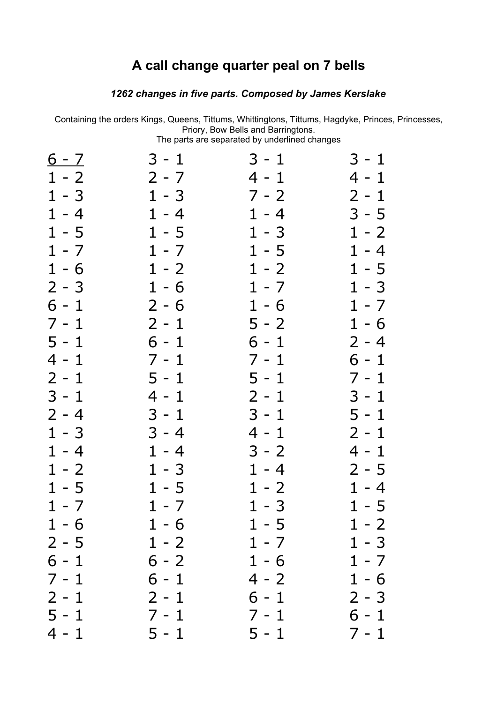## **A call change quarter peal on 7 bells**

## *changes in five parts. Composed by James Kerslake*

Containing the orders Kings, Queens, Tittums, Whittingtons, Tittums, Hagdyke, Princes, Princesses, Priory, Bow Bells and Barringtons. The parts are separated by underlined changes

| <u>6 - 7</u> | $3 - 1$ | $3 - 1$ | 3 - 1   |
|--------------|---------|---------|---------|
| $1 - 2$      | $2 - 7$ | $4 - 1$ | $4 - 1$ |
| $1 - 3$      | $1 - 3$ | $7 - 2$ | $2 - 1$ |
| $1 - 4$      | $1 - 4$ | $1 - 4$ | $3 - 5$ |
| $1 - 5$      | $1 - 5$ | $1 - 3$ | $1 - 2$ |
| $1 - 7$      | $1 - 7$ | $1 - 5$ | $1 - 4$ |
| $1 - 6$      | $1 - 2$ | $1 - 2$ | $1 - 5$ |
| $2 - 3$      | $1 - 6$ | $1 - 7$ | $1 - 3$ |
| $6 - 1$      | $2 - 6$ | $1 - 6$ | $1 - 7$ |
| 7 - 1        | $2 - 1$ | $5 - 2$ | $1 - 6$ |
| $5 - 1$      | $6 - 1$ | $6 - 1$ | $2 - 4$ |
| 4 - 1        | $7 - 1$ | $7 - 1$ | $6 - 1$ |
| $2 - 1$      | $5 - 1$ | $5 - 1$ | $7 - 1$ |
| $3 - 1$      | $4 - 1$ | $2 - 1$ | $3 - 1$ |
| $2 - 4$      | $3 - 1$ | $3 - 1$ | $5 - 1$ |
| $1 - 3$      | $3 - 4$ | 4 - 1   | $2 - 1$ |
| $1 - 4$      | $1 - 4$ | $3 - 2$ | $4 - 1$ |
| $1 - 2$      | $1 - 3$ | $1 - 4$ | $2 - 5$ |
| $1 - 5$      | $1 - 5$ | $1 - 2$ | $1 - 4$ |
| $1 - 7$      | $1 - 7$ | $1 - 3$ | $1 - 5$ |
| $1 - 6$      | $1 - 6$ | $1 - 5$ | $1 - 2$ |
| $2 - 5$      | $1 - 2$ | $1 - 7$ | $1 - 3$ |
| $6 - 1$      | $6 - 2$ | $1 - 6$ | $1 - 7$ |
| $7 - 1$      | $6 - 1$ | $4 - 2$ | $1 - 6$ |
| $2 - 1$      | $2 - 1$ | $6 - 1$ | $2 - 3$ |
| $5 - 1$      | $7 - 1$ | $7 - 1$ | $6 - 1$ |
| $4 - 1$      | $5 - 1$ | $5 - 1$ | $7 - 1$ |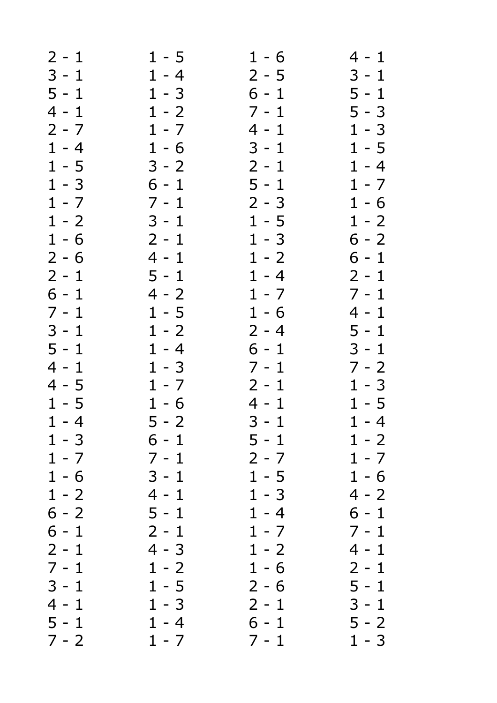| $3 - 1$<br>5 - 1<br>$5 - 3$<br>$1 - 3$<br>$1 - 5$<br>$1 - 4$<br>$1 - 7$<br>$1 - 6$<br>$1 - 2$<br>$6 - 2$<br>$6 - 1$<br>$2 - 1$<br>$7 - 1$<br>4 - 1 |
|----------------------------------------------------------------------------------------------------------------------------------------------------|
|                                                                                                                                                    |
|                                                                                                                                                    |
|                                                                                                                                                    |
|                                                                                                                                                    |
|                                                                                                                                                    |
|                                                                                                                                                    |
|                                                                                                                                                    |
|                                                                                                                                                    |
|                                                                                                                                                    |
|                                                                                                                                                    |
|                                                                                                                                                    |
|                                                                                                                                                    |
|                                                                                                                                                    |
|                                                                                                                                                    |
|                                                                                                                                                    |
| $5 - 1$                                                                                                                                            |
| $3 - 1$                                                                                                                                            |
| $7 - 2$                                                                                                                                            |
| $1 - 3$                                                                                                                                            |
| $1 - 5$                                                                                                                                            |
| $1 - 4$                                                                                                                                            |
| $1 - 2$                                                                                                                                            |
| $1 - 7$                                                                                                                                            |
| $1 - 6$                                                                                                                                            |
| $4 - 2$                                                                                                                                            |
| $6 - 1$                                                                                                                                            |
| $7 - 1$                                                                                                                                            |
| 4 - 1                                                                                                                                              |
| $2 - 1$                                                                                                                                            |
| $5 - 1$                                                                                                                                            |
| $3 - 1$                                                                                                                                            |
| $5 - 2$                                                                                                                                            |
| $1 - 3$                                                                                                                                            |
|                                                                                                                                                    |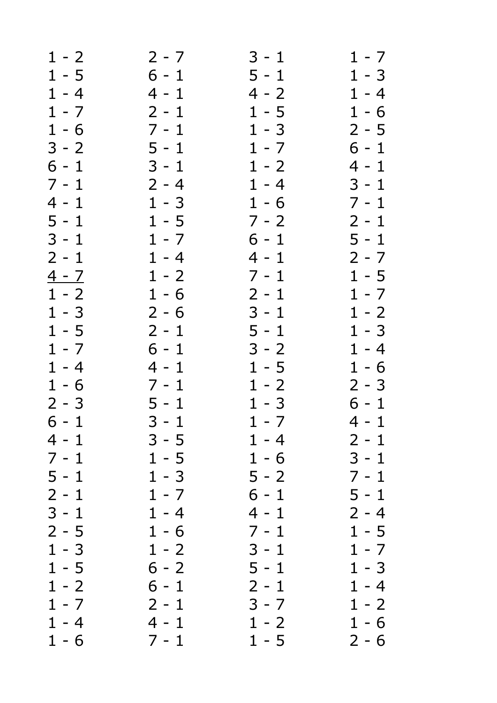| $1 - 2$ | $2 - 7$ | $3 - 1$ | $1 - 7$ |
|---------|---------|---------|---------|
| $1 - 5$ | $6 - 1$ | $5 - 1$ | $1 - 3$ |
| $1 - 4$ | $4 - 1$ | $4 - 2$ | $1 - 4$ |
| $1 - 7$ | $2 - 1$ | $1 - 5$ | $1 - 6$ |
| $1 - 6$ | $7 - 1$ | $1 - 3$ | $2 - 5$ |
| $3 - 2$ | $5 - 1$ | $1 - 7$ | $6 - 1$ |
| $6 - 1$ | $3 - 1$ | $1 - 2$ | $4 - 1$ |
| $7 - 1$ | $2 - 4$ | $1 - 4$ | $3 - 1$ |
| $4 - 1$ | $1 - 3$ | $1 - 6$ | $7 - 1$ |
| $5 - 1$ | $1 - 5$ | $7 - 2$ | $2 - 1$ |
| $3 - 1$ | $1 - 7$ | $6 - 1$ | $5 - 1$ |
| $2 - 1$ | $1 - 4$ | $4 - 1$ | $2 - 7$ |
| $4 - 7$ | $1 - 2$ | $7 - 1$ | $1 - 5$ |
| $1 - 2$ | $1 - 6$ | $2 - 1$ | $1 - 7$ |
| $1 - 3$ | $2 - 6$ | $3 - 1$ | $1 - 2$ |
| $1 - 5$ | $2 - 1$ | $5 - 1$ | $1 - 3$ |
| $1 - 7$ | $6 - 1$ | $3 - 2$ | $1 - 4$ |
| $1 - 4$ | $4 - 1$ | $1 - 5$ | $1 - 6$ |
| $1 - 6$ | $7 - 1$ | $1 - 2$ | $2 - 3$ |
| $2 - 3$ | $5 - 1$ | $1 - 3$ | $6 - 1$ |
| $6 - 1$ | $3 - 1$ | $1 - 7$ | $4 - 1$ |
| $4 - 1$ | $3 - 5$ | $1 - 4$ | $2 - 1$ |
| $7 - 1$ | $1 - 5$ | $1 - 6$ | $3 - 1$ |
| $5 - 1$ | $1 - 3$ | $5 - 2$ | $7 - 1$ |
| $2 - 1$ | $1 - 7$ | $6 - 1$ | $5 - 1$ |
| $3 - 1$ | $1 - 4$ | $4 - 1$ | $2 - 4$ |
| $2 - 5$ | $1 - 6$ | $7 - 1$ | $1 - 5$ |
| $1 - 3$ | $1 - 2$ | $3 - 1$ | $1 - 7$ |
| $1 - 5$ | $6 - 2$ | $5 - 1$ | $1 - 3$ |
| $1 - 2$ | $6 - 1$ | $2 - 1$ | $1 - 4$ |
| $1 - 7$ | $2 - 1$ | $3 - 7$ | $1 - 2$ |
| $1 - 4$ | $4 - 1$ | $1 - 2$ | $1 - 6$ |
| $1 - 6$ | $7 - 1$ | $1 - 5$ | $2 - 6$ |
|         |         |         |         |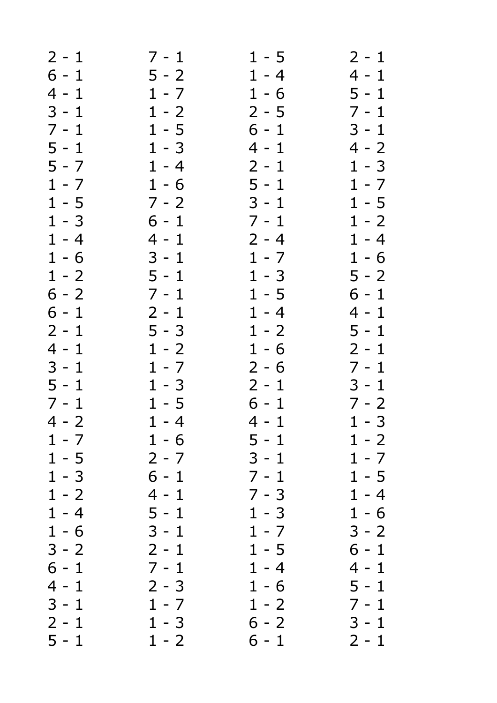| $2 - 1$ | 7 - 1   | $1 - 5$ | $2 - 1$ |
|---------|---------|---------|---------|
| $6 - 1$ | $5 - 2$ | $1 - 4$ | $4 - 1$ |
| $4 - 1$ | $1 - 7$ | $1 - 6$ | $5 - 1$ |
| $3 - 1$ | $1 - 2$ | $2 - 5$ | $7 - 1$ |
| $7 - 1$ | $1 - 5$ | $6 - 1$ | $3 - 1$ |
| $5 - 1$ | $1 - 3$ | $4 - 1$ | $4 - 2$ |
| $5 - 7$ | $1 - 4$ | $2 - 1$ | $1 - 3$ |
| $1 - 7$ | $1 - 6$ | $5 - 1$ | $1 - 7$ |
| $1 - 5$ | $7 - 2$ | $3 - 1$ | $1 - 5$ |
| $1 - 3$ | $6 - 1$ | $7 - 1$ | $1 - 2$ |
| $1 - 4$ | $4 - 1$ | $2 - 4$ | $1 - 4$ |
| $1 - 6$ | $3 - 1$ | $1 - 7$ | $1 - 6$ |
| $1 - 2$ | $5 - 1$ | $1 - 3$ | $5 - 2$ |
| $6 - 2$ | $7 - 1$ | $1 - 5$ | $6 - 1$ |
| $6 - 1$ | $2 - 1$ | $1 - 4$ | $4 - 1$ |
| $2 - 1$ | $5 - 3$ | $1 - 2$ | $5 - 1$ |
| $4 - 1$ | $1 - 2$ | $1 - 6$ | $2 - 1$ |
| $3 - 1$ | $1 - 7$ | $2 - 6$ | $7 - 1$ |
| $5 - 1$ | $1 - 3$ | $2 - 1$ | $3 - 1$ |
| $7 - 1$ | $1 - 5$ | $6 - 1$ | $7 - 2$ |
| $4 - 2$ | $1 - 4$ | $4 - 1$ | $1 - 3$ |
| $1 - 7$ | $1 - 6$ | 5 - 1   | $1 - 2$ |
| $1 - 5$ | $2 - 7$ | $3 - 1$ | $1 - 7$ |
| $1 - 3$ | $6 - 1$ | $7 - 1$ | $1 - 5$ |
| $1 - 2$ | $4 - 1$ | $7 - 3$ | $1 - 4$ |
| $1 - 4$ | $5 - 1$ | $1 - 3$ | $1 - 6$ |
| $1 - 6$ | $3 - 1$ | $1 - 7$ | $3 - 2$ |
| $3 - 2$ | $2 - 1$ | $1 - 5$ | $6 - 1$ |
| $6 - 1$ | $7 - 1$ | $1 - 4$ | 4 - 1   |
| $4 - 1$ | $2 - 3$ | $1 - 6$ | $5 - 1$ |
| $3 - 1$ | $1 - 7$ | $1 - 2$ | $7 - 1$ |
| $2 - 1$ | $1 - 3$ | $6 - 2$ | $3 - 1$ |
| $5 - 1$ | $1 - 2$ | $6 - 1$ | $2 - 1$ |
|         |         |         |         |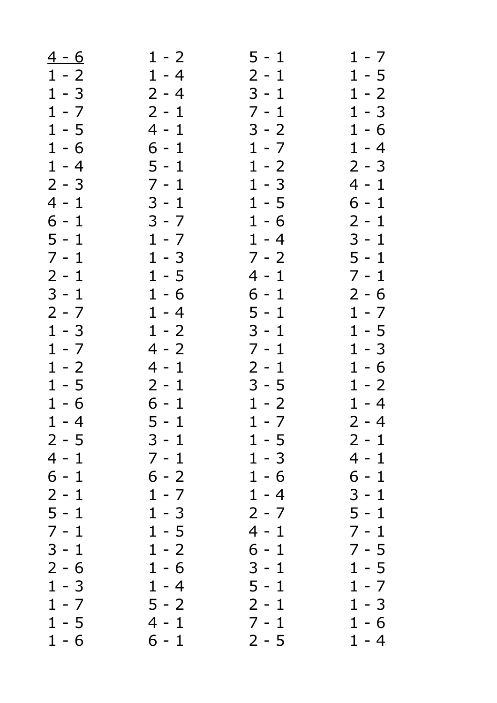| $4 - 6$ | $1 - 2$ | $5 - 1$ | $1 - 7$ |
|---------|---------|---------|---------|
| $1 - 2$ | $1 - 4$ | $2 - 1$ | $1 - 5$ |
| $1 - 3$ | $2 - 4$ | $3 - 1$ | $1 - 2$ |
| $1 - 7$ | $2 - 1$ | $7 - 1$ | $1 - 3$ |
| $1 - 5$ | $4 - 1$ | $3 - 2$ | $1 - 6$ |
| $1 - 6$ | $6 - 1$ | $1 - 7$ | $1 - 4$ |
| $1 - 4$ | $5 - 1$ | $1 - 2$ | $2 - 3$ |
| $2 - 3$ | $7 - 1$ | $1 - 3$ | $4 - 1$ |
| $4 - 1$ | $3 - 1$ | $1 - 5$ | 6 - 1   |
| $6 - 1$ | $3 - 7$ | $1 - 6$ | $2 - 1$ |
| $5 - 1$ | $1 - 7$ | $1 - 4$ | $3 - 1$ |
| $7 - 1$ | $1 - 3$ | $7 - 2$ | $5 - 1$ |
| $2 - 1$ | $1 - 5$ | 4 - 1   | $7 - 1$ |
| $3 - 1$ | $1 - 6$ | $6 - 1$ | $2 - 6$ |
| $2 - 7$ | $1 - 4$ | $5 - 1$ | $1 - 7$ |
| $1 - 3$ | $1 - 2$ | $3 - 1$ | $1 - 5$ |
| $1 - 7$ | $4 - 2$ | $7 - 1$ | $1 - 3$ |
| $1 - 2$ | 4 - 1   | $2 - 1$ | $1 - 6$ |
| $1 - 5$ | $2 - 1$ | $3 - 5$ | $1 - 2$ |
| $1 - 6$ | $6 - 1$ | $1 - 2$ | $1 - 4$ |
| $1 - 4$ | $5 - 1$ | $1 - 7$ | $2 - 4$ |
| $2 - 5$ | 3 - 1   | $1 - 5$ | $2 - 1$ |
| $4 - 1$ | $7 - 1$ | $1 - 3$ | 4 - 1   |
| $6 - 1$ | $6 - 2$ | $1 - 6$ | $6 - 1$ |
| $2 - 1$ | $1 - 7$ | $1 - 4$ | $3 - 1$ |
| $5 - 1$ | $1 - 3$ | $2 - 7$ | 5 - 1   |
| $7 - 1$ | $1 - 5$ | $4 - 1$ | $7 - 1$ |
| $3 - 1$ | $1 - 2$ | $6 - 1$ | $7 - 5$ |
| $2 - 6$ | $1 - 6$ | $3 - 1$ | $1 - 5$ |
| $1 - 3$ | $1 - 4$ | $5 - 1$ | $1 - 7$ |
| $1 - 7$ | $5 - 2$ | $2 - 1$ | $1 - 3$ |
| $1 - 5$ | $4 - 1$ | $7 - 1$ | $1 - 6$ |
| $1 - 6$ | $6 - 1$ | $2 - 5$ | $1 - 4$ |
|         |         |         |         |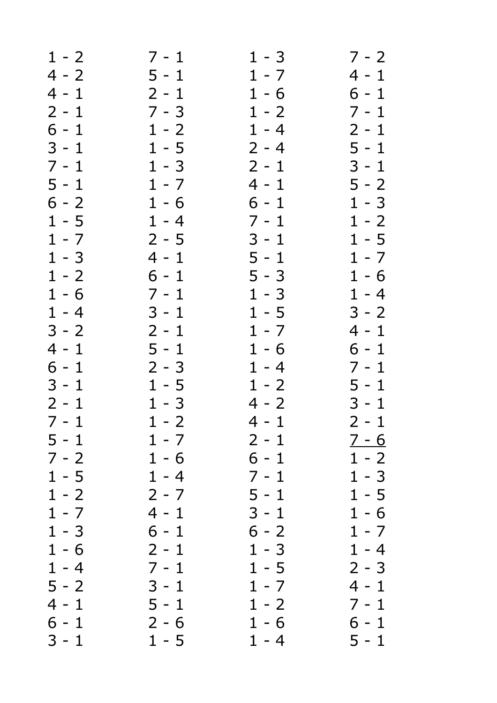| $1 - 2$ | $7 - 1$ | $1 - 3$ | $7 - 2$      |
|---------|---------|---------|--------------|
| $4 - 2$ | $5 - 1$ | $1 - 7$ | 4 - 1        |
| $4 - 1$ | $2 - 1$ | $1 - 6$ | 6 - 1        |
| $2 - 1$ | $7 - 3$ | $1 - 2$ | $7 - 1$      |
| $6 - 1$ | $1 - 2$ | $1 - 4$ | $2 - 1$      |
| $3 - 1$ | $1 - 5$ | $2 - 4$ | $5 - 1$      |
| $7 - 1$ | $1 - 3$ | $2 - 1$ | $3 - 1$      |
| $5 - 1$ | $1 - 7$ | $4 - 1$ | $5 - 2$      |
| $6 - 2$ | $1 - 6$ | $6 - 1$ | $1 - 3$      |
| $1 - 5$ | $1 - 4$ | $7 - 1$ | $1 - 2$      |
| $1 - 7$ | $2 - 5$ | $3 - 1$ | $1 - 5$      |
| $1 - 3$ |         | $5 - 1$ |              |
|         | 4 - 1   |         | $1 - 7$      |
| $1 - 2$ | $6 - 1$ | $5 - 3$ | $1 - 6$      |
| $1 - 6$ | $7 - 1$ | $1 - 3$ | $1 - 4$      |
| $1 - 4$ | $3 - 1$ | $1 - 5$ | $3 - 2$      |
| $3 - 2$ | $2 - 1$ | $1 - 7$ | $4 - 1$      |
| $4 - 1$ | $5 - 1$ | $1 - 6$ | $6 - 1$      |
| $6 - 1$ | $2 - 3$ | $1 - 4$ | $7 - 1$      |
| $3 - 1$ | $1 - 5$ | $1 - 2$ | $5 - 1$      |
| $2 - 1$ | $1 - 3$ | $4 - 2$ | $3 - 1$      |
| $7 - 1$ | $1 - 2$ | $4 - 1$ | $2 - 1$      |
| 5 - 1   | $1 - 7$ | $2 - 1$ | <u>7 - 6</u> |
| $7 - 2$ | $1 - 6$ | 6 - 1   | $1 - 2$      |
| $1 - 5$ | $1 - 4$ | $7 - 1$ | $1 - 3$      |
| $1 - 2$ | $2 - 7$ | $5 - 1$ | $1 - 5$      |
| $1 - 7$ | $4 - 1$ | $3 - 1$ | $1 - 6$      |
| $1 - 3$ | $6 - 1$ | $6 - 2$ | $1 - 7$      |
| $1 - 6$ | $2 - 1$ | $1 - 3$ | $1 - 4$      |
| $1 - 4$ | $7 - 1$ | $1 - 5$ | $2 - 3$      |
| $5 - 2$ | $3 - 1$ | $1 - 7$ | $4 - 1$      |
| $4 - 1$ | $5 - 1$ | $1 - 2$ | 7 - 1        |
| $6 - 1$ | $2 - 6$ | $1 - 6$ | $6 - 1$      |
| $3 - 1$ | $1 - 5$ | $1 - 4$ | $5 - 1$      |
|         |         |         |              |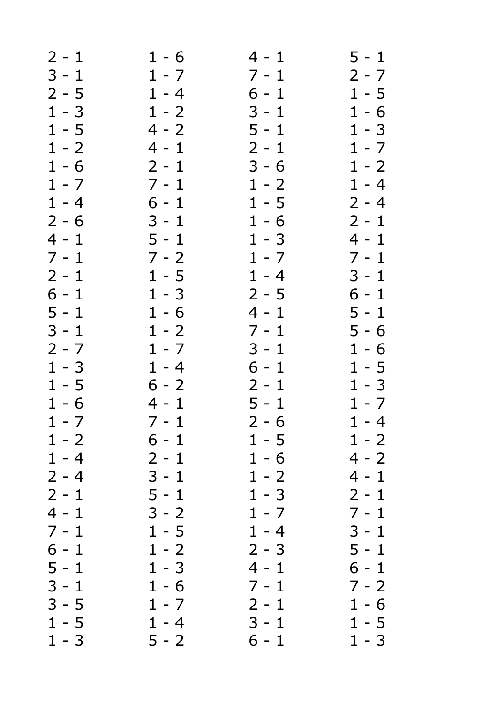| $2 - 1$ | $1 - 6$ | 4 - 1   | $5 - 1$ |
|---------|---------|---------|---------|
| $3 - 1$ | $1 - 7$ | $7 - 1$ | $2 - 7$ |
| $2 - 5$ | $1 - 4$ | 6 - 1   | $1 - 5$ |
| $1 - 3$ | $1 - 2$ | $3 - 1$ | $1 - 6$ |
| $1 - 5$ | $4 - 2$ | $5 - 1$ | $1 - 3$ |
| $1 - 2$ | $4 - 1$ | $2 - 1$ | $1 - 7$ |
| $1 - 6$ | $2 - 1$ | $3 - 6$ | $1 - 2$ |
| $1 - 7$ | $7 - 1$ | $1 - 2$ | $1 - 4$ |
| $1 - 4$ | $6 - 1$ | $1 - 5$ | $2 - 4$ |
| $2 - 6$ | $3 - 1$ | $1 - 6$ | $2 - 1$ |
| $4 - 1$ | $5 - 1$ | $1 - 3$ | $4 - 1$ |
| $7 - 1$ | $7 - 2$ | $1 - 7$ | $7 - 1$ |
| $2 - 1$ | $1 - 5$ | $1 - 4$ | $3 - 1$ |
| $6 - 1$ | $1 - 3$ | $2 - 5$ | $6 - 1$ |
| $5 - 1$ | $1 - 6$ | 4 - 1   | $5 - 1$ |
| $3 - 1$ | $1 - 2$ | $7 - 1$ | $5 - 6$ |
| $2 - 7$ | $1 - 7$ | $3 - 1$ | $1 - 6$ |
| $1 - 3$ |         |         |         |
|         | $1 - 4$ | $6 - 1$ | $1 - 5$ |
| $1 - 5$ | $6 - 2$ | $2 - 1$ | $1 - 3$ |
| $1 - 6$ | $4 - 1$ | $5 - 1$ | $1 - 7$ |
| $1 - 7$ | $7 - 1$ | $2 - 6$ | $1 - 4$ |
| $1 - 2$ | 6 - 1   | $1 - 5$ | $1 - 2$ |
| $1 - 4$ | $2 - 1$ | $1 - 6$ | $4 - 2$ |
| $2 - 4$ | $3 - 1$ | $1 - 2$ | $4 - 1$ |
| $2 - 1$ | $5 - 1$ | $1 - 3$ | $2 - 1$ |
| $4 - 1$ | $3 - 2$ | $1 - 7$ | $7 - 1$ |
| $7 - 1$ | $1 - 5$ | $1 - 4$ | $3 - 1$ |
| $6 - 1$ | $1 - 2$ | $2 - 3$ | $5 - 1$ |
| $5 - 1$ | $1 - 3$ | 4 - 1   | $6 - 1$ |
| $3 - 1$ | $1 - 6$ | $7 - 1$ | $7 - 2$ |
| $3 - 5$ | $1 - 7$ | $2 - 1$ | $1 - 6$ |
| $1 - 5$ | $1 - 4$ | $3 - 1$ | $1 - 5$ |
| $1 - 3$ | $5 - 2$ | $6 - 1$ | $1 - 3$ |
|         |         |         |         |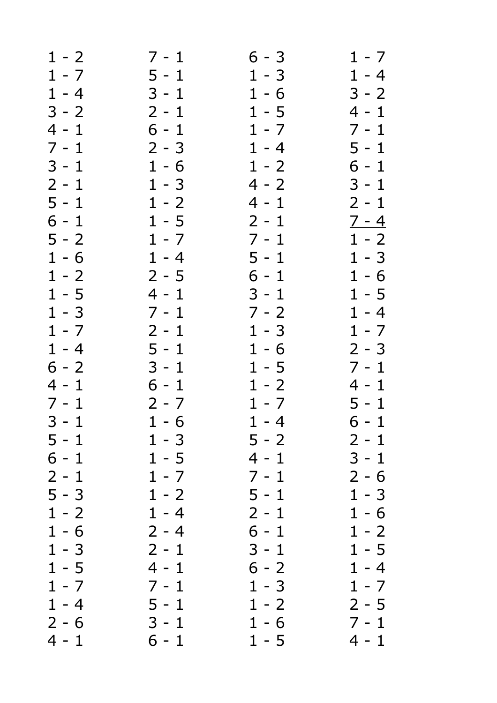| $1 - 2$ | $7 - 1$ | $6 - 3$ | $1 - 7$ |
|---------|---------|---------|---------|
| $1 - 7$ | $5 - 1$ | $1 - 3$ | $1 - 4$ |
| $1 - 4$ | $3 - 1$ | $1 - 6$ | $3 - 2$ |
| $3 - 2$ | $2 - 1$ | $1 - 5$ | $4 - 1$ |
| $4 - 1$ | $6 - 1$ | $1 - 7$ | $7 - 1$ |
| $7 - 1$ | $2 - 3$ | $1 - 4$ | $5 - 1$ |
| $3 - 1$ | $1 - 6$ | $1 - 2$ | $6 - 1$ |
| $2 - 1$ | $1 - 3$ | $4 - 2$ | $3 - 1$ |
| $5 - 1$ | $1 - 2$ | $4 - 1$ | $2 - 1$ |
| $6 - 1$ | $1 - 5$ | $2 - 1$ | $7 - 4$ |
| $5 - 2$ | $1 - 7$ | $7 - 1$ | $1 - 2$ |
| $1 - 6$ | $1 - 4$ | $5 - 1$ | $1 - 3$ |
| $1 - 2$ | $2 - 5$ | $6 - 1$ | $1 - 6$ |
| $1 - 5$ | $4 - 1$ | $3 - 1$ | $1 - 5$ |
| $1 - 3$ | $7 - 1$ | $7 - 2$ | $1 - 4$ |
| $1 - 7$ | $2 - 1$ | $1 - 3$ | $1 - 7$ |
| $1 - 4$ | $5 - 1$ | $1 - 6$ | $2 - 3$ |
| $6 - 2$ | $3 - 1$ | $1 - 5$ | $7 - 1$ |
| $4 - 1$ | $6 - 1$ | $1 - 2$ | 4 - 1   |
| $7 - 1$ | $2 - 7$ | $1 - 7$ | $5 - 1$ |
| $3 - 1$ | $1 - 6$ | $1 - 4$ | $6 - 1$ |
| $5 - 1$ | $1 - 3$ | $5 - 2$ | $2 - 1$ |
| $6 - 1$ | $1 - 5$ | $4 - 1$ | 3 - 1   |
| $2 - 1$ | $1 - 7$ | $7 - 1$ | $2 - 6$ |
| $5 - 3$ | $1 - 2$ | $5 - 1$ | $1 - 3$ |
| $1 - 2$ | $1 - 4$ | $2 - 1$ | $1 - 6$ |
| $1 - 6$ | $2 - 4$ | $6 - 1$ | $1 - 2$ |
| $1 - 3$ | $2 - 1$ | $3 - 1$ | $1 - 5$ |
| $1 - 5$ | $4 - 1$ | $6 - 2$ | $1 - 4$ |
| $1 - 7$ | $7 - 1$ | $1 - 3$ | $1 - 7$ |
| $1 - 4$ | $5 - 1$ | $1 - 2$ | $2 - 5$ |
| $2 - 6$ | $3 - 1$ | $1 - 6$ | $7 - 1$ |
| $4 - 1$ | $6 - 1$ | $1 - 5$ | 4 - 1   |
|         |         |         |         |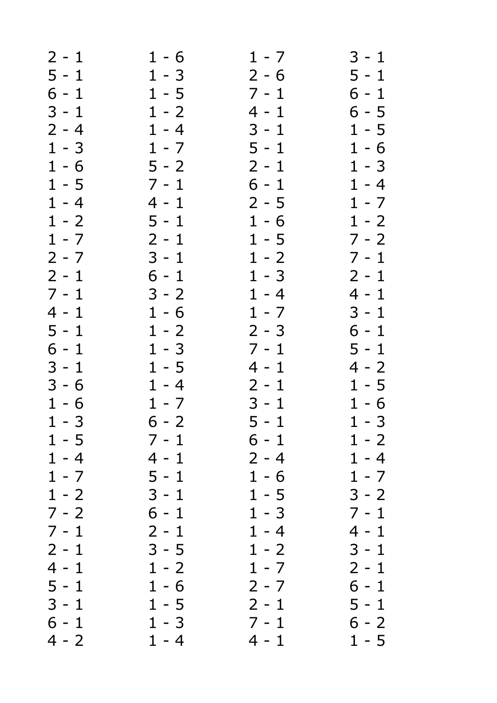| $2 - 1$ | $1 - 6$ | $1 - 7$ | $3 - 1$ |
|---------|---------|---------|---------|
| $5 - 1$ | $1 - 3$ | $2 - 6$ | $5 - 1$ |
| $6 - 1$ | $1 - 5$ | $7 - 1$ | 6 - 1   |
| $3 - 1$ | $1 - 2$ | $4 - 1$ | $6 - 5$ |
| $2 - 4$ | $1 - 4$ | $3 - 1$ | $1 - 5$ |
| $1 - 3$ | $1 - 7$ | $5 - 1$ | $1 - 6$ |
| $1 - 6$ | $5 - 2$ | $2 - 1$ | $1 - 3$ |
| $1 - 5$ | $7 - 1$ | $6 - 1$ | $1 - 4$ |
| $1 - 4$ | $4 - 1$ | $2 - 5$ | $1 - 7$ |
| $1 - 2$ | $5 - 1$ | $1 - 6$ | $1 - 2$ |
| $1 - 7$ | $2 - 1$ | $1 - 5$ | $7 - 2$ |
| $2 - 7$ | $3 - 1$ | $1 - 2$ | $7 - 1$ |
| $2 - 1$ | $6 - 1$ | $1 - 3$ | $2 - 1$ |
| $7 - 1$ | $3 - 2$ | $1 - 4$ | $4 - 1$ |
| $4 - 1$ | $1 - 6$ | $1 - 7$ | $3 - 1$ |
| $5 - 1$ | $1 - 2$ | $2 - 3$ | $6 - 1$ |
| $6 - 1$ | $1 - 3$ | $7 - 1$ | $5 - 1$ |
| $3 - 1$ | $1 - 5$ | $4 - 1$ | $4 - 2$ |
| $3 - 6$ | $1 - 4$ | $2 - 1$ | $1 - 5$ |
| $1 - 6$ | $1 - 7$ | $3 - 1$ | $1 - 6$ |
| $1 - 3$ | $6 - 2$ | $5 - 1$ | $1 - 3$ |
| $1 - 5$ | 7 - 1   | 6 - 1   | $1 - 2$ |
| $1 - 4$ | $4 - 1$ | $2 - 4$ | $1 - 4$ |
| $1 - 7$ | $5 - 1$ | $1 - 6$ | $1 - 7$ |
| $1 - 2$ | $3 - 1$ | $1 - 5$ | $3 - 2$ |
| $7 - 2$ | $6 - 1$ | $1 - 3$ | $7 - 1$ |
| $7 - 1$ | $2 - 1$ | $1 - 4$ | 4 - 1   |
| $2 - 1$ | $3 - 5$ | $1 - 2$ | $3 - 1$ |
| $4 - 1$ | $1 - 2$ | $1 - 7$ | $2 - 1$ |
| $5 - 1$ | $1 - 6$ | $2 - 7$ | $6 - 1$ |
| $3 - 1$ | $1 - 5$ | $2 - 1$ | 5 - 1   |
| $6 - 1$ | $1 - 3$ | $7 - 1$ | $6 - 2$ |
| $4 - 2$ | $1 - 4$ | $4 - 1$ | $1 - 5$ |
|         |         |         |         |